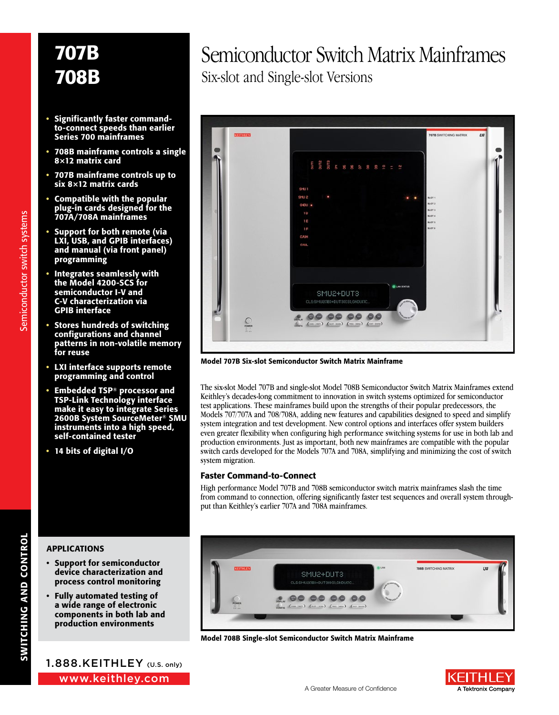- Significantly faster commandto-connect speeds than earlier Series 700 mainframes
- 708B mainframe controls a single 8×12 matrix card
- 707B mainframe controls up to six 8×12 matrix cards
- Compatible with the popular plug-in cards designed for the 707A/708A mainframes
- Support for both remote (via LXI, USB, and GPIB interfaces) and manual (via front panel) programming
- Integrates seamlessly with the Model 4200-SCS for semiconductor I-V and C-V characterization via GPIB interface
- Stores hundreds of switching configurations and channel patterns in non-volatile memory for reuse
- LXI interface supports remote programming and control
- Embedded TSP® processor and TSP-Link Technology interface make it easy to integrate Series 2600B System SourceMeter® SMU instruments into a high speed, self-contained tester
- 14 bits of digital I/O

### Semiconductor Switch Matrix Mainframes Six-slot and Single-slot Versions



Model 707B Six-slot Semiconductor Switch Matrix Mainframe

The six-slot Model 707B and single-slot Model 708B Semiconductor Switch Matrix Mainframes extend Keithley's decades-long commitment to innovation in switch systems optimized for semiconductor test applications. These mainframes build upon the strengths of their popular predecessors, the Models 707/707A and 708/708A, adding new features and capabilities designed to speed and simplify system integration and test development. New control options and interfaces offer system builders even greater flexibility when configuring high performance switching systems for use in both lab and production environments. Just as important, both new mainframes are compatible with the popular switch cards developed for the Models 707A and 708A, simplifying and minimizing the cost of switch system migration.

### Faster Command-to-Connect

High performance Model 707B and 708B semiconductor switch matrix mainframes slash the time from command to connection, offering significantly faster test sequences and overall system throughput than Keithley's earlier 707A and 708A mainframes.

> SMU2+DUT3 CLS:SMU2(1B)+DUT3(03),GNDU(10

### APPLICATIONS

- Support for semiconductor device characterization and process control monitoring
- Fully automated testing of a wide range of electronic components in both lab and production environments

www.keithley.com 1.888.KEITHLEY (U.S. only)



TOBB SWITCHING MATRIX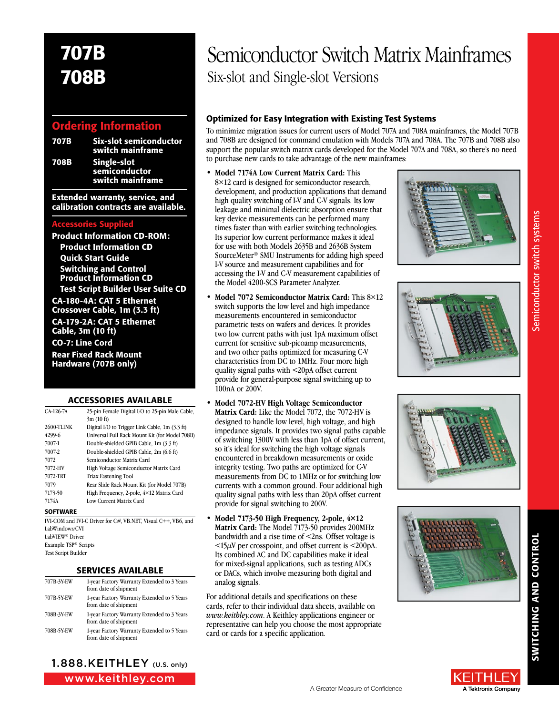### Ordering Information

| 707B | <b>Six-slot semiconductor</b><br>switch mainframe |
|------|---------------------------------------------------|
| 708B | Single-slot<br>semiconductor                      |
|      | switch mainframe                                  |

Extended warranty, service, and calibration contracts are available.

### Accessories Supplied

**Product Information CD-ROM:** Product Information CD Quick Start Guide Switching and Control Product Information CD Test Script Builder User Suite CD

CA-180-4A: CAT 5 Ethernet Crossover Cable, 1m (3.3 ft) CA-179-2A: CAT 5 Ethernet Cable, 3m (10 ft) CO-7: Line Cord Rear Fixed Rack Mount Hardware (707B only)

### **ACCESSORIES AVAILABLE**

| CA-126-7A         | 25-pin Female Digital I/O to 25-pin Male Cable, |  |  |
|-------------------|-------------------------------------------------|--|--|
|                   | 3m(10 ft)                                       |  |  |
| <b>2600-TLINK</b> | Digital I/O to Trigger Link Cable, 1m (3.3 ft)  |  |  |
| 4299-6            | Universal Full Rack Mount Kit (for Model 708B)  |  |  |
| 7007-1            | Double-shielded GPIB Cable, 1m (3.3 ft)         |  |  |
| 7007-2            | Double-shielded GPIB Cable, 2m (6.6 ft)         |  |  |
| 7072              | Semiconductor Matrix Card                       |  |  |
| 7072-HV           | High Voltage Semiconductor Matrix Card          |  |  |
| 7072-TRT          | <b>Triax Fastening Tool</b>                     |  |  |
| 7079              | Rear Slide Rack Mount Kit (for Model 707B)      |  |  |
| 7173-50           | High Frequency, 2-pole, 4×12 Matrix Card        |  |  |
| 7174A             | Low Current Matrix Card                         |  |  |
|                   |                                                 |  |  |

#### **SOFTWARE**

IVI-COM and IVI-C Driver for C#, VB.NET, Visual C++, VB6, and LabWindows/CVI LabVIEW® Driver Example TSP® Scripts Test Script Builder

### SERVICES AVAILABLE

| 707B-3Y-EW | 1-year Factory Warranty Extended to 3 Years<br>from date of shipment |
|------------|----------------------------------------------------------------------|
| 707B-5Y-EW | 1-year Factory Warranty Extended to 5 Years<br>from date of shipment |
| 708B-3Y-EW | 1-year Factory Warranty Extended to 3 Years<br>from date of shipment |
| 708B-5Y-EW | 1-year Factory Warranty Extended to 5 Years<br>from date of shipment |

www.keithley.com 1.888.KEITHLEY (U.S. only)



### Optimized for Easy Integration with Existing Test Systems

To minimize migration issues for current users of Model 707A and 708A mainframes, the Model 707B and 708B are designed for command emulation with Models 707A and 708A. The 707B and 708B also support the popular switch matrix cards developed for the Model 707A and 708A, so there's no need to purchase new cards to take advantage of the new mainframes:

- **• Model 7174A Low Current Matrix Card:** This 8×12 card is designed for semiconductor research, development, and production applications that demand high quality switching of I-V and C-V signals. Its low leakage and minimal dielectric absorption ensure that key device measurements can be performed many times faster than with earlier switching technologies. Its superior low current performance makes it ideal for use with both Models 2635B and 2636B System SourceMeter® SMU Instruments for adding high speed I-V source and measurement capabilities and for accessing the I-V and C-V measurement capabilities of the Model 4200-SCS Parameter Analyzer.
- **• Model 7072 Semiconductor Matrix Card:** This 8×12 switch supports the low level and high impedance measurements encountered in semiconductor parametric tests on wafers and devices. It provides two low current paths with just 1pA maximum offset current for sensitive sub-picoamp measurements, and two other paths optimized for measuring C-V characteristics from DC to 1MHz. Four more high quality signal paths with <20pA offset current provide for general-purpose signal switching up to 100nA or 200V.
- **• Model 7072-HV High Voltage Semiconductor Matrix Card:** Like the Model 7072, the 7072-HV is designed to handle low level, high voltage, and high impedance signals. It provides two signal paths capable of switching 1300V with less than 1pA of offset current, so it's ideal for switching the high voltage signals encountered in breakdown measurements or oxide integrity testing. Two paths are optimized for C-V measurements from DC to 1MHz or for switching low currents with a common ground. Four additional high quality signal paths with less than 20pA offset current provide for signal switching to 200V.
- **• Model 7173-50 High Frequency, 2-pole, 4×12** Matrix Card: The Model 7173-50 provides 200MHz bandwidth and a rise time of <2ns. Offset voltage is  $\leq$ 15 $\mu$ V per crosspoint, and offset current is  $\leq$ 200pA. Its combined AC and DC capabilities make it ideal for mixed-signal applications, such as testing ADCs or DACs, which involve measuring both digital and analog signals.

For additional details and specifications on these cards, refer to their individual data sheets, available on *www.keithley.com*. A Keithley applications engineer or representative can help you choose the most appropriate card or cards for a specific application.









Semiconductor switch systems Semiconductor switch systems

SWITCHING AND CONTROL

SWITCHING AND CONTROI

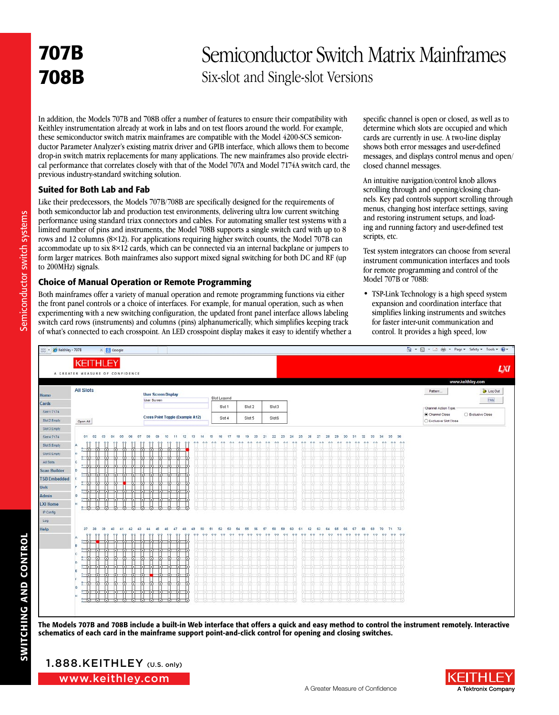### Semiconductor Switch Matrix Mainframes Six-slot and Single-slot Versions

In addition, the Models 707B and 708B offer a number of features to ensure their compatibility with Keithley instrumentation already at work in labs and on test floors around the world. For example, these semiconductor switch matrix mainframes are compatible with the Model 4200-SCS semiconductor Parameter Analyzer's existing matrix driver and GPIB interface, which allows them to become drop-in switch matrix replacements for many applications. The new mainframes also provide electrical performance that correlates closely with that of the Model 707A and Model 7174A switch card, the previous industry-standard switching solution.

### Suited for Both Lab and Fab

Like their predecessors, the Models 707B/708B are specifically designed for the requirements of both semiconductor lab and production test environments, delivering ultra low current switching performance using standard triax connectors and cables. For automating smaller test systems with a limited number of pins and instruments, the Model 708B supports a single switch card with up to 8 rows and 12 columns (8×12). For applications requiring higher switch counts, the Model 707B can accommodate up to six 8×12 cards, which can be connected via an internal backplane or jumpers to form larger matrices. Both mainframes also support mixed signal switching for both DC and RF (up to 200MHz) signals.

### Choice of Manual Operation or Remote Programming

Both mainframes offer a variety of manual operation and remote programming functions via either the front panel controls or a choice of interfaces. For example, for manual operation, such as when experimenting with a new switching configuration, the updated front panel interface allows labeling switch card rows (instruments) and columns (pins) alphanumerically, which simplifies keeping track of what's connected to each crosspoint. An LED crosspoint display makes it easy to identify whether a specific channel is open or closed, as well as to determine which slots are occupied and which cards are currently in use. A two-line display shows both error messages and user-defined messages, and displays control menus and open/ closed channel messages.

An intuitive navigation/control knob allows scrolling through and opening/closing channels. Key pad controls support scrolling through menus, changing host interface settings, saving and restoring instrument setups, and loading and running factory and user-defined test scripts, etc.

Test system integrators can choose from several instrument communication interfaces and tools for remote programming and control of the Model 707B or 708B:

• TSP-Link Technology is a high speed system expansion and coordination interface that simplifies linking instruments and switches for faster inter-unit communication and control. It provides a high speed, low



The Models 707B and 708B include a built-in Web interface that offers a quick and easy method to control the instrument remotely. Interactive schematics of each card in the mainframe support point-and-click control for opening and closing switches.



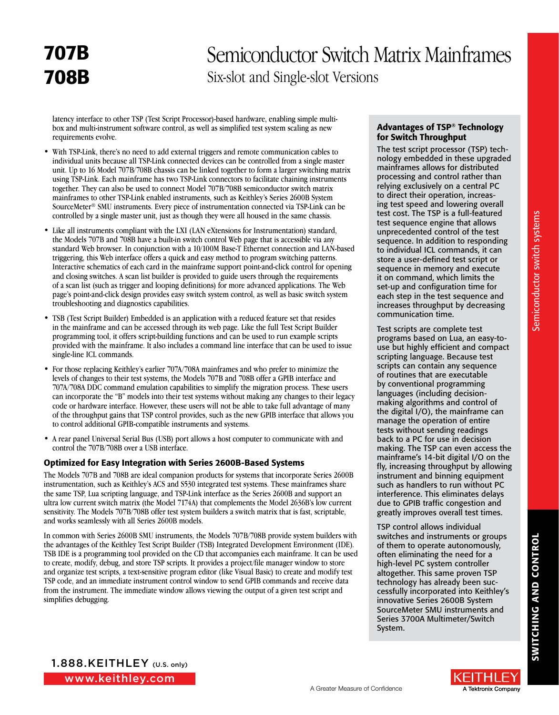### Semiconductor Switch Matrix Mainframes Six-slot and Single-slot Versions

latency interface to other TSP (Test Script Processor)-based hardware, enabling simple multibox and multi-instrument software control, as well as simplified test system scaling as new requirements evolve.

- With TSP-Link, there's no need to add external triggers and remote communication cables to individual units because all TSP-Link connected devices can be controlled from a single master unit. Up to 16 Model 707B/708B chassis can be linked together to form a larger switching matrix using TSP-Link. Each mainframe has two TSP-Link connectors to facilitate chaining instruments together. They can also be used to connect Model 707B/708B semiconductor switch matrix mainframes to other TSP-Link enabled instruments, such as Keithley's Series 2600B System SourceMeter® SMU instruments. Every piece of instrumentation connected via TSP-Link can be controlled by a single master unit, just as though they were all housed in the same chassis.
- Like all instruments compliant with the LXI (LAN eXtensions for Instrumentation) standard, the Models 707B and 708B have a built-in switch control Web page that is accessible via any standard Web browser. In conjunction with a 10/100M Base-T Ethernet connection and LAN-based triggering, this Web interface offers a quick and easy method to program switching patterns. Interactive schematics of each card in the mainframe support point-and-click control for opening and closing switches. A scan list builder is provided to guide users through the requirements of a scan list (such as trigger and looping definitions) for more advanced applications. The Web page's point-and-click design provides easy switch system control, as well as basic switch system troubleshooting and diagnostics capabilities.
- TSB (Test Script Builder) Embedded is an application with a reduced feature set that resides in the mainframe and can be accessed through its web page. Like the full Test Script Builder programming tool, it offers script-building functions and can be used to run example scripts provided with the mainframe. It also includes a command line interface that can be used to issue single-line ICL commands.
- For those replacing Keithley's earlier 707A/708A mainframes and who prefer to minimize the levels of changes to their test systems, the Models 707B and 708B offer a GPIB interface and 707A/708A DDC command emulation capabilities to simplify the migration process. These users can incorporate the "B" models into their test systems without making any changes to their legacy code or hardware interface. However, these users will not be able to take full advantage of many of the throughput gains that TSP control provides, such as the new GPIB interface that allows you to control additional GPIB-compatible instruments and systems.
- A rear panel Universal Serial Bus (USB) port allows a host computer to communicate with and control the 707B/708B over a USB interface.

### Optimized for Easy Integration with Series 2600B-Based Systems

The Models 707B and 708B are ideal companion products for systems that incorporate Series 2600B instrumentation, such as Keithley's ACS and S530 integrated test systems. These mainframes share the same TSP, Lua scripting language, and TSP-Link interface as the Series 2600B and support an ultra low current switch matrix (the Model 7174A) that complements the Model 2636B's low current sensitivity. The Models 707B/708B offer test system builders a switch matrix that is fast, scriptable, and works seamlessly with all Series 2600B models.

In common with Series 2600B SMU instruments, the Models 707B/708B provide system builders with the advantages of the Keithley Test Script Builder (TSB) Integrated Development Environment (IDE). TSB IDE is a programming tool provided on the CD that accompanies each mainframe. It can be used to create, modify, debug, and store TSP scripts. It provides a project/file manager window to store and organize test scripts, a text-sensitive program editor (like Visual Basic) to create and modify test TSP code, and an immediate instrument control window to send GPIB commands and receive data from the instrument. The immediate window allows viewing the output of a given test script and simplifies debugging.

### Advantages of TSP® Technology for Switch Throughput

The test script processor (TSP) technology embedded in these upgraded mainframes allows for distributed processing and control rather than relying exclusively on a central PC to direct their operation, increasing test speed and lowering overall test cost. The TSP is a full-featured test sequence engine that allows unprecedented control of the test sequence. In addition to responding to individual ICL commands, it can store a user-defined test script or sequence in memory and execute it on command, which limits the set-up and configuration time for each step in the test sequence and increases throughput by decreasing communication time.

Test scripts are complete test programs based on Lua, an easy-touse but highly efficient and compact scripting language. Because test scripts can contain any sequence of routines that are executable by conventional programming languages (including decisionmaking algorithms and control of the digital I/O), the mainframe can manage the operation of entire tests without sending readings back to a PC for use in decision making. The TSP can even access the mainframe's 14-bit digital I/O on the fly, increasing throughput by allowing instrument and binning equipment such as handlers to run without PC interference. This eliminates delays due to GPIB traffic congestion and greatly improves overall test times.

TSP control allows individual switches and instruments or groups of them to operate autonomously, often eliminating the need for a high-level PC system controller altogether. This same proven TSP technology has already been successfully incorporated into Keithley's innovative Series 2600B System SourceMeter SMU instruments and Series 3700A Multimeter/Switch System.

www.keithley.com 1.888.KEITHLEY (U.S. only)